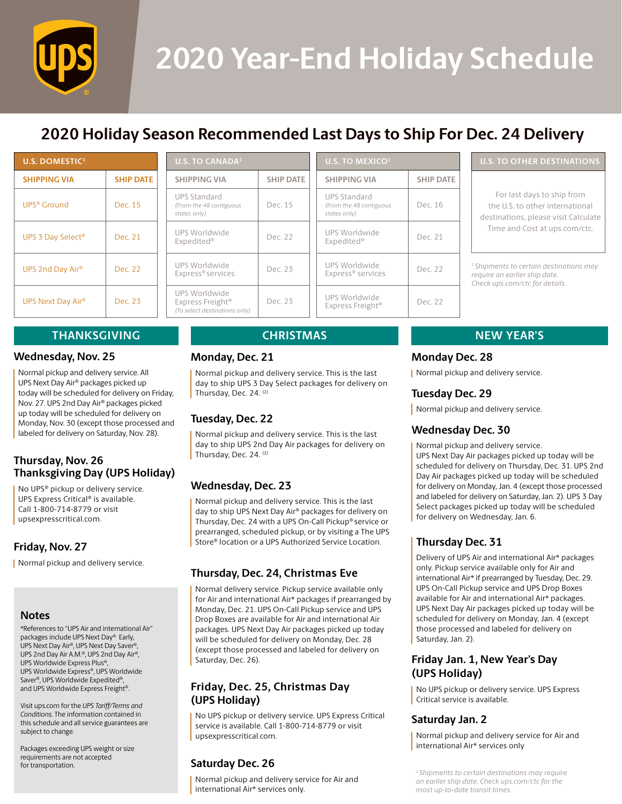

# **2020 Year-End Holiday Schedule**

# **2020 Holiday Season Recommended Last Days to Ship For Dec. 24 Delivery**

| <b>U.S. DOMESTIC<sup>1</sup></b> |                  |  |
|----------------------------------|------------------|--|
| <b>SHIPPING VIA</b>              | <b>SHIP DATE</b> |  |
| UPS® Ground                      | Dec. 15          |  |
| UPS 3 Day Select <sup>®</sup>    | Dec. 21          |  |
| UPS 2nd Day Air®                 | Dec. 22          |  |
| UPS Next Day Air®                | Dec. 23          |  |

| <b>U.S. TO CANADA<sup>1</sup></b>                                              |                  | U.S.                          |  |
|--------------------------------------------------------------------------------|------------------|-------------------------------|--|
| <b>SHIPPING VIA</b>                                                            | <b>SHIP DATE</b> | <b>SHIF</b>                   |  |
| <b>UPS Standard</b><br>(From the 48 contiguous<br>states only)                 | Dec. 15          | <b>UPS</b><br>(From<br>states |  |
| UPS Worldwide<br>Expedited®                                                    | Dec. 22          | <b>UPS</b><br><b>Expe</b>     |  |
| UPS Worldwide<br>Express <sup>®</sup> services                                 | Dec. 23          | <b>UPS</b><br>Expr            |  |
| UPS Worldwide<br>Express Freight <sup>®</sup><br>(To select destinations only) | Dec. 23          | <b>UPS</b><br>Expr            |  |

| U.S. TO MEXICO $1$                                             |                  |
|----------------------------------------------------------------|------------------|
| <b>SHIPPING VIA</b>                                            | <b>SHIP DATE</b> |
| <b>UPS Standard</b><br>(From the 48 contiguous<br>states only) | Dec. 16          |
| UPS Worldwide<br>Expedited®                                    | Dec 21           |
| <b>LIPS Worldwide</b><br>Express <sup>®</sup> services         | Dec. 22          |
| UPS Worldwide<br>Express Freight <sup>®</sup>                  | Dec 22           |

### **U.S. TO OTHER DESTINATIONS**

For last days to ship from the U.S. to other international destinations, please visit Calculate Time and Cost at [ups.com/ctc.](http://ups.com/ctc)

*1 Shipments to certain destinations may require an earlier ship date. Check [ups.com/ctc](http://ups.com/ctc) for details.*

# **THANKSGIVING CHRISTMAS NEW YEAR'S**

### **Wednesday, Nov. 25**

Normal pickup and delivery service. All UPS Next Day Air® packages picked up today will be scheduled for delivery on Friday, Nov. 27. UPS 2nd Day Air® packages picked up today will be scheduled for delivery on Monday, Nov. 30 (except those processed and labeled for delivery on Saturday, Nov. 28).

# **Thursday, Nov. 26 Thanksgiving Day (UPS Holiday)**

No UPS® pickup or delivery service. UPS Express Critical® is available. Call 1-800-714-8779 or visit [upsexpresscritical.com.](http://upsexpresscritical.com)

# **Friday, Nov. 27**

**Normal pickup and delivery service.** 

### **Notes**

\*References to "UPS Air and international Air" packages include UPS Next Day® Early, UPS Next Day Air®, UPS Next Day Saver®, UPS 2nd Day Air A.M.®, UPS 2nd Day Air®, UPS Worldwide Express Plus®, UPS Worldwide Express®, UPS Worldwide Saver®, UPS Worldwide Expedited®, and UPS Worldwide Express Freight®.

Visit [ups.com](http://ups.com) for the *UPS Tariff/Terms and Conditions*. The information contained in this schedule and all service guarantees are subject to change.

Packages exceeding UPS weight or size requirements are not accepted for transportation.

### **Monday, Dec. 21**

Normal pickup and delivery service. This is the last day to ship UPS 3 Day Select packages for delivery on Thursday, Dec. 24. (2)

# **Tuesday, Dec. 22**

Normal pickup and delivery service. This is the last day to ship UPS 2nd Day Air packages for delivery on Thursday, Dec. 24. (2)

# **Wednesday, Dec. 23**

Normal pickup and delivery service. This is the last day to ship UPS Next Day Air® packages for delivery on Thursday, Dec. 24 with a UPS On-Call Pickup® service or prearranged, scheduled pickup, or by visiting a The UPS Store® location or a UPS Authorized Service Location.

# **Thursday, Dec. 24, Christmas Eve**

Normal delivery service. Pickup service available only for Air and international Air\* packages if prearranged by Monday, Dec. 21. UPS On-Call Pickup service and UPS Drop Boxes are available for Air and international Air packages. UPS Next Day Air packages picked up today will be scheduled for delivery on Monday, Dec. 28 (except those processed and labeled for delivery on Saturday, Dec. 26).

### **Friday, Dec. 25, Christmas Day (UPS Holiday)**

No UPS pickup or delivery service. UPS Express Critical service is available. Call 1-800-714-8779 or visit [upsexpresscritical.com](http://upsexpresscritical.com).

### **Saturday Dec. 26**

Normal pickup and delivery service for Air and international Air\* services only.

### **Monday Dec. 28**

**Normal pickup and delivery service.** 

### **Tuesday Dec. 29**

Normal pickup and delivery service.

# **Wednesday Dec. 30**

Normal pickup and delivery service. UPS Next Day Air packages picked up today will be scheduled for delivery on Thursday, Dec. 31. UPS 2nd Day Air packages picked up today will be scheduled for delivery on Monday, Jan. 4 (except those processed and labeled for delivery on Saturday, Jan. 2). UPS 3 Day Select packages picked up today will be scheduled for delivery on Wednesday, Jan. 6.

# **Thursday Dec. 31**

Delivery of UPS Air and international Air\* packages only. Pickup service available only for Air and international Air\* if prearranged by Tuesday, Dec. 29. UPS On-Call Pickup service and UPS Drop Boxes available for Air and international Air\* packages. UPS Next Day Air packages picked up today will be scheduled for delivery on Monday, Jan. 4 (except those processed and labeled for delivery on Saturday, Jan. 2).

# **Friday Jan. 1, New Year's Day (UPS Holiday)**

No UPS pickup or delivery service. UPS Express Critical service is available.

# **Saturday Jan. 2**

Normal pickup and delivery service for Air and international Air\* services only

*2 Shipments to certain destinations may require an earlier ship date. Check [ups.com/ctc](http://ups.com/ctc) for the most up-to-date transit times.*